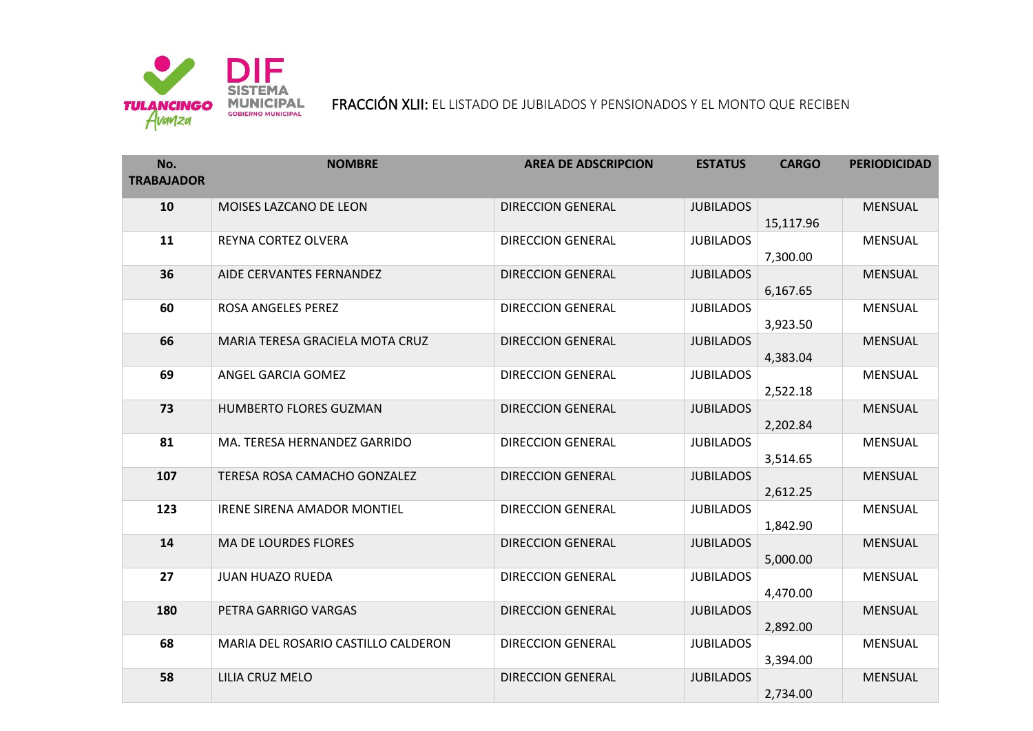

FRACCIÓN XLII: EL LISTADO DE JUBILADOS Y PENSIONADOS Y EL MONTO QUE RECIBEN

| No.<br><b>TRABAJADOR</b> | <b>NOMBRE</b>                       | <b>AREA DE ADSCRIPCION</b> | <b>ESTATUS</b>   | <b>CARGO</b> | <b>PERIODICIDAD</b> |
|--------------------------|-------------------------------------|----------------------------|------------------|--------------|---------------------|
| 10                       | MOISES LAZCANO DE LEON              | <b>DIRECCION GENERAL</b>   | <b>JUBILADOS</b> | 15,117.96    | <b>MENSUAL</b>      |
| 11                       | REYNA CORTEZ OLVERA                 | <b>DIRECCION GENERAL</b>   | <b>JUBILADOS</b> | 7,300.00     | <b>MENSUAL</b>      |
| 36                       | AIDE CERVANTES FERNANDEZ            | <b>DIRECCION GENERAL</b>   | <b>JUBILADOS</b> | 6,167.65     | <b>MENSUAL</b>      |
| 60                       | ROSA ANGELES PEREZ                  | <b>DIRECCION GENERAL</b>   | <b>JUBILADOS</b> | 3,923.50     | <b>MENSUAL</b>      |
| 66                       | MARIA TERESA GRACIELA MOTA CRUZ     | <b>DIRECCION GENERAL</b>   | <b>JUBILADOS</b> | 4,383.04     | <b>MENSUAL</b>      |
| 69                       | ANGEL GARCIA GOMEZ                  | <b>DIRECCION GENERAL</b>   | <b>JUBILADOS</b> | 2,522.18     | <b>MENSUAL</b>      |
| 73                       | HUMBERTO FLORES GUZMAN              | <b>DIRECCION GENERAL</b>   | <b>JUBILADOS</b> | 2,202.84     | <b>MENSUAL</b>      |
| 81                       | MA. TERESA HERNANDEZ GARRIDO        | <b>DIRECCION GENERAL</b>   | <b>JUBILADOS</b> | 3,514.65     | <b>MENSUAL</b>      |
| 107                      | TERESA ROSA CAMACHO GONZALEZ        | <b>DIRECCION GENERAL</b>   | <b>JUBILADOS</b> | 2,612.25     | <b>MENSUAL</b>      |
| 123                      | <b>IRENE SIRENA AMADOR MONTIEL</b>  | <b>DIRECCION GENERAL</b>   | <b>JUBILADOS</b> | 1,842.90     | <b>MENSUAL</b>      |
| 14                       | <b>MA DE LOURDES FLORES</b>         | <b>DIRECCION GENERAL</b>   | <b>JUBILADOS</b> | 5,000.00     | <b>MENSUAL</b>      |
| 27                       | <b>JUAN HUAZO RUEDA</b>             | <b>DIRECCION GENERAL</b>   | <b>JUBILADOS</b> | 4,470.00     | <b>MENSUAL</b>      |
| 180                      | PETRA GARRIGO VARGAS                | <b>DIRECCION GENERAL</b>   | <b>JUBILADOS</b> | 2,892.00     | <b>MENSUAL</b>      |
| 68                       | MARIA DEL ROSARIO CASTILLO CALDERON | <b>DIRECCION GENERAL</b>   | <b>JUBILADOS</b> | 3,394.00     | <b>MENSUAL</b>      |
| 58                       | LILIA CRUZ MELO                     | <b>DIRECCION GENERAL</b>   | <b>JUBILADOS</b> | 2,734.00     | <b>MENSUAL</b>      |